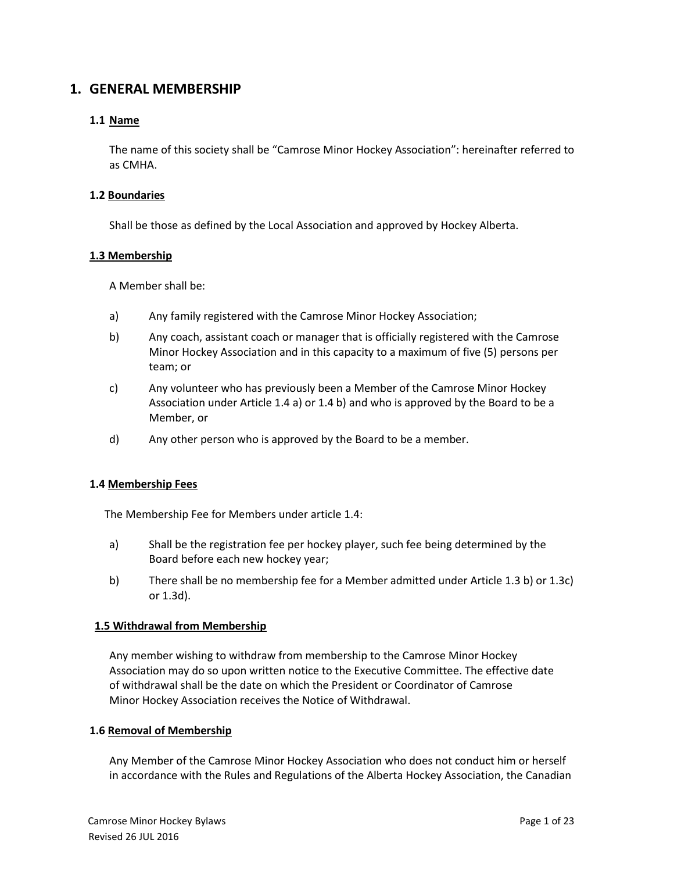# **1. GENERAL MEMBERSHIP**

# **1.1 Name**

The name of this society shall be "Camrose Minor Hockey Association": hereinafter referred to as CMHA.

### **1.2 Boundaries**

Shall be those as defined by the Local Association and approved by Hockey Alberta.

### **1.3 Membership**

A Member shall be:

- a) Any family registered with the Camrose Minor Hockey Association;
- b) Any coach, assistant coach or manager that is officially registered with the Camrose Minor Hockey Association and in this capacity to a maximum of five (5) persons per team; or
- c) Any volunteer who has previously been a Member of the Camrose Minor Hockey Association under Article 1.4 a) or 1.4 b) and who is approved by the Board to be a Member, or
- d) Any other person who is approved by the Board to be a member.

# **1.4 Membership Fees**

The Membership Fee for Members under article 1.4:

- a) Shall be the registration fee per hockey player, such fee being determined by the Board before each new hockey year;
- b) There shall be no membership fee for a Member admitted under Article 1.3 b) or 1.3c) or 1.3d).

### **1.5 Withdrawal from Membership**

Any member wishing to withdraw from membership to the Camrose Minor Hockey Association may do so upon written notice to the Executive Committee. The effective date of withdrawal shall be the date on which the President or Coordinator of Camrose Minor Hockey Association receives the Notice of Withdrawal.

### **1.6 Removal of Membership**

Any Member of the Camrose Minor Hockey Association who does not conduct him or herself in accordance with the Rules and Regulations of the Alberta Hockey Association, the Canadian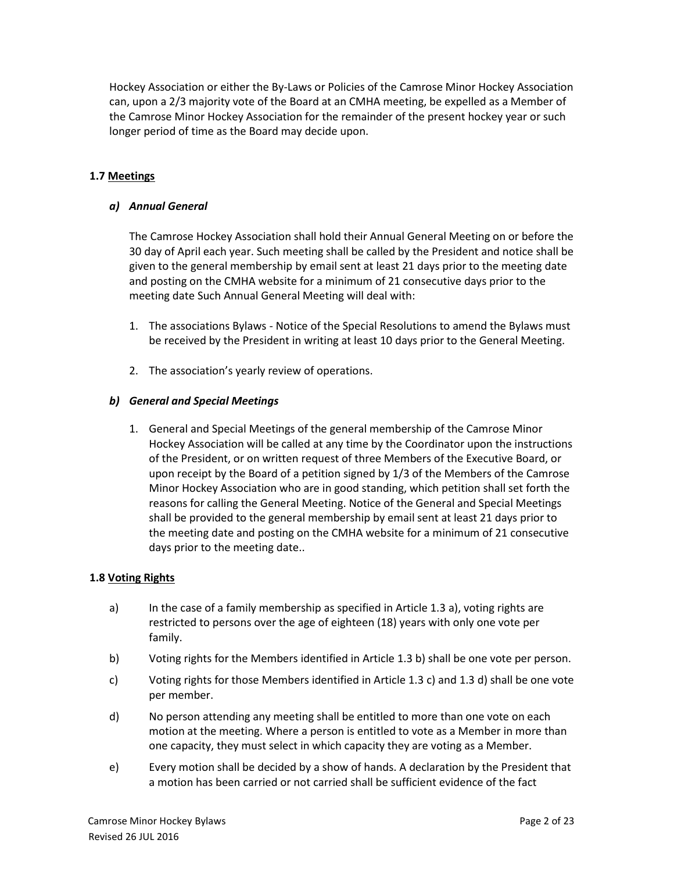Hockey Association or either the By-Laws or Policies of the Camrose Minor Hockey Association can, upon a 2/3 majority vote of the Board at an CMHA meeting, be expelled as a Member of the Camrose Minor Hockey Association for the remainder of the present hockey year or such longer period of time as the Board may decide upon.

# **1.7 Meetings**

# *a) Annual General*

The Camrose Hockey Association shall hold their Annual General Meeting on or before the 30 day of April each year. Such meeting shall be called by the President and notice shall be given to the general membership by email sent at least 21 days prior to the meeting date and posting on the CMHA website for a minimum of 21 consecutive days prior to the meeting date Such Annual General Meeting will deal with:

- 1. The associations Bylaws Notice of the Special Resolutions to amend the Bylaws must be received by the President in writing at least 10 days prior to the General Meeting.
- 2. The association's yearly review of operations.

# *b) General and Special Meetings*

1. General and Special Meetings of the general membership of the Camrose Minor Hockey Association will be called at any time by the Coordinator upon the instructions of the President, or on written request of three Members of the Executive Board, or upon receipt by the Board of a petition signed by 1/3 of the Members of the Camrose Minor Hockey Association who are in good standing, which petition shall set forth the reasons for calling the General Meeting. Notice of the General and Special Meetings shall be provided to the general membership by email sent at least 21 days prior to the meeting date and posting on the CMHA website for a minimum of 21 consecutive days prior to the meeting date..

### **1.8 Voting Rights**

- a) In the case of a family membership as specified in Article 1.3 a), voting rights are restricted to persons over the age of eighteen (18) years with only one vote per family.
- b) Voting rights for the Members identified in Article 1.3 b) shall be one vote per person.
- c) Voting rights for those Members identified in Article 1.3 c) and 1.3 d) shall be one vote per member.
- d) No person attending any meeting shall be entitled to more than one vote on each motion at the meeting. Where a person is entitled to vote as a Member in more than one capacity, they must select in which capacity they are voting as a Member.
- e) Every motion shall be decided by a show of hands. A declaration by the President that a motion has been carried or not carried shall be sufficient evidence of the fact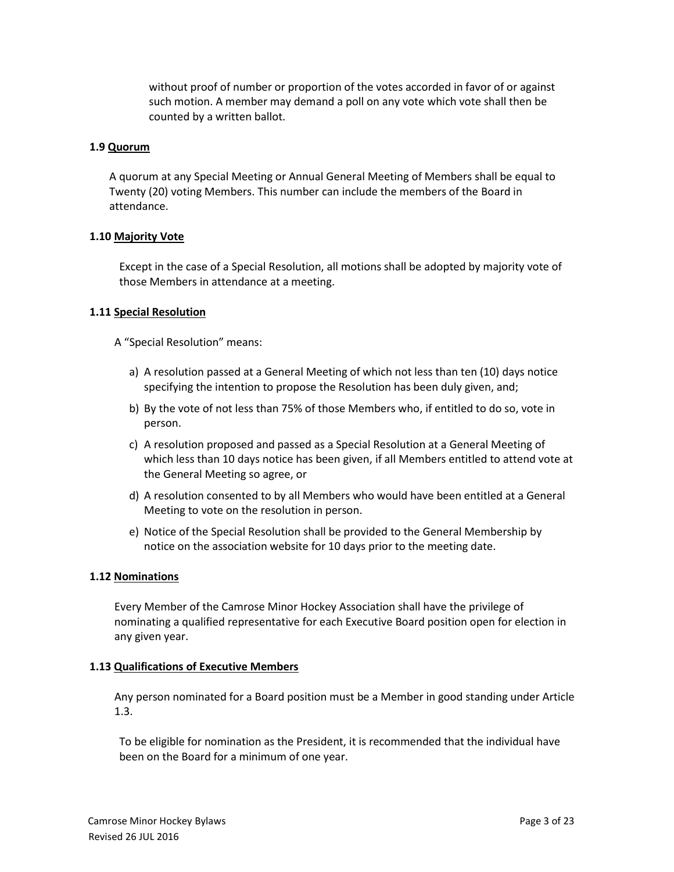without proof of number or proportion of the votes accorded in favor of or against such motion. A member may demand a poll on any vote which vote shall then be counted by a written ballot.

#### **1.9 Quorum**

A quorum at any Special Meeting or Annual General Meeting of Members shall be equal to Twenty (20) voting Members. This number can include the members of the Board in attendance.

### **1.10 Majority Vote**

Except in the case of a Special Resolution, all motions shall be adopted by majority vote of those Members in attendance at a meeting.

#### **1.11 Special Resolution**

A "Special Resolution" means:

- a) A resolution passed at a General Meeting of which not less than ten (10) days notice specifying the intention to propose the Resolution has been duly given, and;
- b) By the vote of not less than 75% of those Members who, if entitled to do so, vote in person.
- c) A resolution proposed and passed as a Special Resolution at a General Meeting of which less than 10 days notice has been given, if all Members entitled to attend vote at the General Meeting so agree, or
- d) A resolution consented to by all Members who would have been entitled at a General Meeting to vote on the resolution in person.
- e) Notice of the Special Resolution shall be provided to the General Membership by notice on the association website for 10 days prior to the meeting date.

#### **1.12 Nominations**

Every Member of the Camrose Minor Hockey Association shall have the privilege of nominating a qualified representative for each Executive Board position open for election in any given year.

### **1.13 Qualifications of Executive Members**

Any person nominated for a Board position must be a Member in good standing under Article 1.3.

To be eligible for nomination as the President, it is recommended that the individual have been on the Board for a minimum of one year.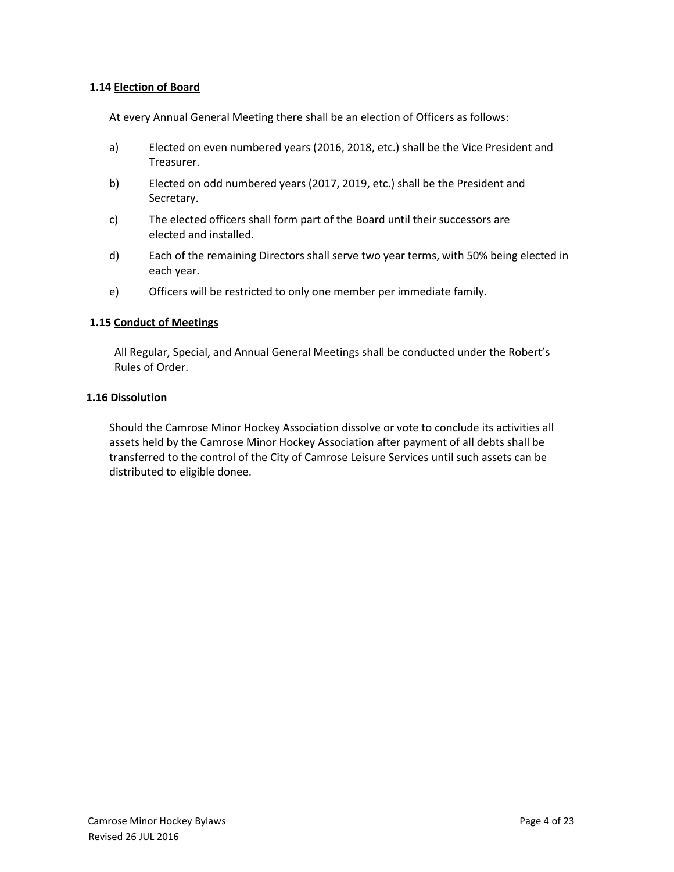### **1.14 Election of Board**

At every Annual General Meeting there shall be an election of Officers as follows:

- a) Elected on even numbered years (2016, 2018, etc.) shall be the Vice President and Treasurer.
- b) Elected on odd numbered years (2017, 2019, etc.) shall be the President and Secretary.
- c) The elected officers shall form part of the Board until their successors are elected and installed.
- d) Each of the remaining Directors shall serve two year terms, with 50% being elected in each year.
- e) Officers will be restricted to only one member per immediate family.

#### **1.15 Conduct of Meetings**

All Regular, Special, and Annual General Meetings shall be conducted under the Robert's Rules of Order.

#### **1.16 Dissolution**

Should the Camrose Minor Hockey Association dissolve or vote to conclude its activities all assets held by the Camrose Minor Hockey Association after payment of all debts shall be transferred to the control of the City of Camrose Leisure Services until such assets can be distributed to eligible donee.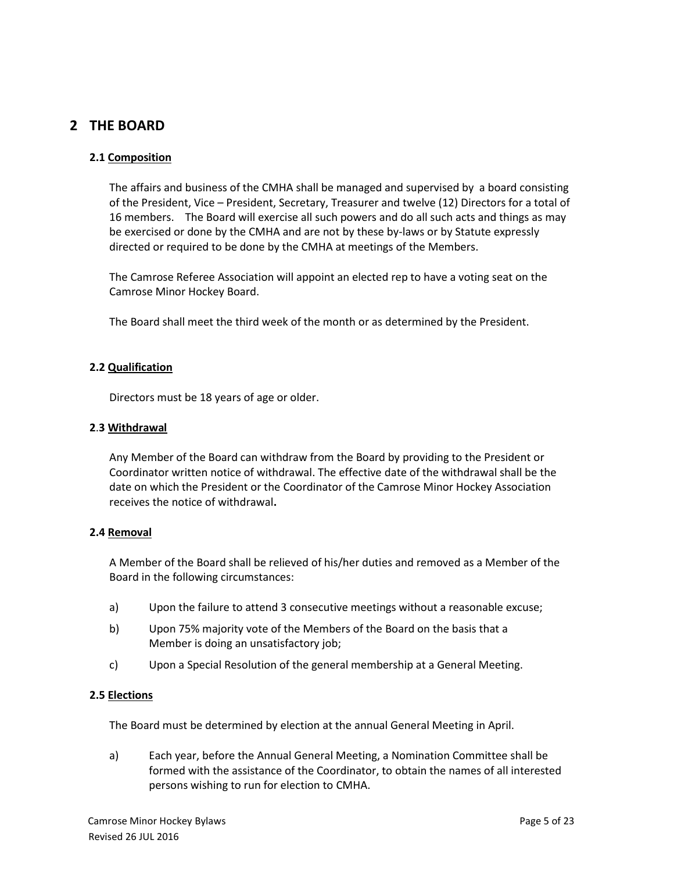# **2 THE BOARD**

### **2.1 Composition**

The affairs and business of the CMHA shall be managed and supervised by a board consisting of the President, Vice – President, Secretary, Treasurer and twelve (12) Directors for a total of 16 members. The Board will exercise all such powers and do all such acts and things as may be exercised or done by the CMHA and are not by these by-laws or by Statute expressly directed or required to be done by the CMHA at meetings of the Members.

The Camrose Referee Association will appoint an elected rep to have a voting seat on the Camrose Minor Hockey Board.

The Board shall meet the third week of the month or as determined by the President.

# **2.2 Qualification**

Directors must be 18 years of age or older.

### **2**.**3 Withdrawal**

Any Member of the Board can withdraw from the Board by providing to the President or Coordinator written notice of withdrawal. The effective date of the withdrawal shall be the date on which the President or the Coordinator of the Camrose Minor Hockey Association receives the notice of withdrawal**.** 

### **2.4 Removal**

A Member of the Board shall be relieved of his/her duties and removed as a Member of the Board in the following circumstances:

- a) Upon the failure to attend 3 consecutive meetings without a reasonable excuse;
- b) Upon 75% majority vote of the Members of the Board on the basis that a Member is doing an unsatisfactory job;
- c) Upon a Special Resolution of the general membership at a General Meeting.

### **2.5 Elections**

The Board must be determined by election at the annual General Meeting in April.

a) Each year, before the Annual General Meeting, a Nomination Committee shall be formed with the assistance of the Coordinator, to obtain the names of all interested persons wishing to run for election to CMHA.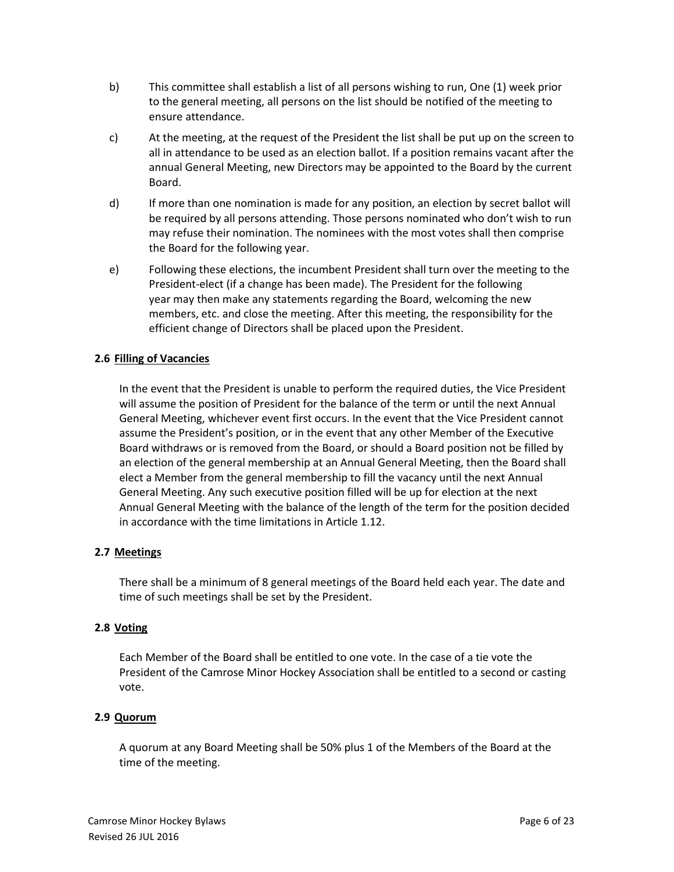- b) This committee shall establish a list of all persons wishing to run, One (1) week prior to the general meeting, all persons on the list should be notified of the meeting to ensure attendance.
- c) At the meeting, at the request of the President the list shall be put up on the screen to all in attendance to be used as an election ballot. If a position remains vacant after the annual General Meeting, new Directors may be appointed to the Board by the current Board.
- d) If more than one nomination is made for any position, an election by secret ballot will be required by all persons attending. Those persons nominated who don't wish to run may refuse their nomination. The nominees with the most votes shall then comprise the Board for the following year.
- e) Following these elections, the incumbent President shall turn over the meeting to the President-elect (if a change has been made). The President for the following year may then make any statements regarding the Board, welcoming the new members, etc. and close the meeting. After this meeting, the responsibility for the efficient change of Directors shall be placed upon the President.

# **2.6 Filling of Vacancies**

In the event that the President is unable to perform the required duties, the Vice President will assume the position of President for the balance of the term or until the next Annual General Meeting, whichever event first occurs. In the event that the Vice President cannot assume the President's position, or in the event that any other Member of the Executive Board withdraws or is removed from the Board, or should a Board position not be filled by an election of the general membership at an Annual General Meeting, then the Board shall elect a Member from the general membership to fill the vacancy until the next Annual General Meeting. Any such executive position filled will be up for election at the next Annual General Meeting with the balance of the length of the term for the position decided in accordance with the time limitations in Article 1.12.

# **2.7 Meetings**

There shall be a minimum of 8 general meetings of the Board held each year. The date and time of such meetings shall be set by the President.

### **2.8 Voting**

Each Member of the Board shall be entitled to one vote. In the case of a tie vote the President of the Camrose Minor Hockey Association shall be entitled to a second or casting vote.

### **2.9 Quorum**

A quorum at any Board Meeting shall be 50% plus 1 of the Members of the Board at the time of the meeting.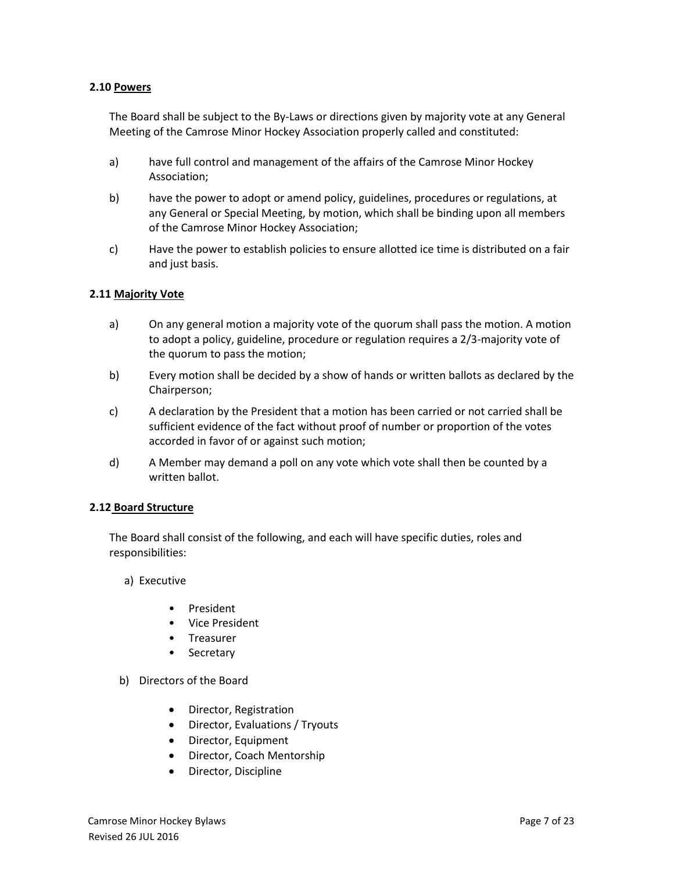### **2.10 Powers**

The Board shall be subject to the By-Laws or directions given by majority vote at any General Meeting of the Camrose Minor Hockey Association properly called and constituted:

- a) have full control and management of the affairs of the Camrose Minor Hockey Association;
- b) have the power to adopt or amend policy, guidelines, procedures or regulations, at any General or Special Meeting, by motion, which shall be binding upon all members of the Camrose Minor Hockey Association;
- c) Have the power to establish policies to ensure allotted ice time is distributed on a fair and just basis.

### **2.11 Majority Vote**

- a) On any general motion a majority vote of the quorum shall pass the motion. A motion to adopt a policy, guideline, procedure or regulation requires a 2/3-majority vote of the quorum to pass the motion;
- b) Every motion shall be decided by a show of hands or written ballots as declared by the Chairperson;
- c) A declaration by the President that a motion has been carried or not carried shall be sufficient evidence of the fact without proof of number or proportion of the votes accorded in favor of or against such motion;
- d) A Member may demand a poll on any vote which vote shall then be counted by a written ballot.

#### **2.12 Board Structure**

The Board shall consist of the following, and each will have specific duties, roles and responsibilities:

a) Executive

- President
- Vice President
- Treasurer
- Secretary
- b) Directors of the Board
	- Director, Registration
	- Director, Evaluations / Tryouts
	- Director, Equipment
	- Director, Coach Mentorship
	- Director, Discipline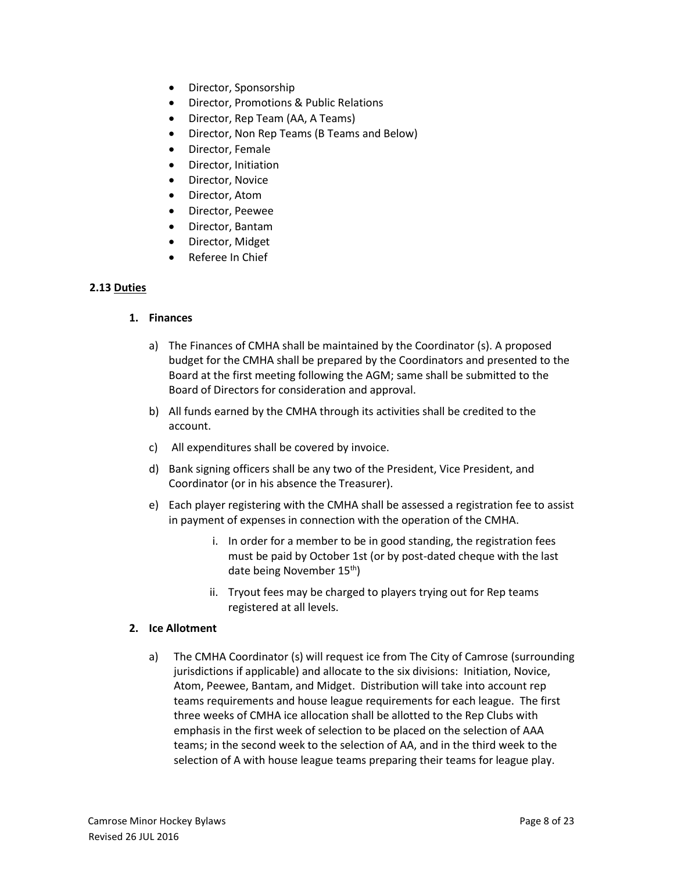- Director, Sponsorship
- Director, Promotions & Public Relations
- Director, Rep Team (AA, A Teams)
- Director, Non Rep Teams (B Teams and Below)
- Director, Female
- Director, Initiation
- Director, Novice
- Director, Atom
- Director, Peewee
- Director, Bantam
- Director, Midget
- Referee In Chief

### **2.13 Duties**

### **1. Finances**

- a) The Finances of CMHA shall be maintained by the Coordinator (s). A proposed budget for the CMHA shall be prepared by the Coordinators and presented to the Board at the first meeting following the AGM; same shall be submitted to the Board of Directors for consideration and approval.
- b) All funds earned by the CMHA through its activities shall be credited to the account.
- c) All expenditures shall be covered by invoice.
- d) Bank signing officers shall be any two of the President, Vice President, and Coordinator (or in his absence the Treasurer).
- e) Each player registering with the CMHA shall be assessed a registration fee to assist in payment of expenses in connection with the operation of the CMHA.
	- i. In order for a member to be in good standing, the registration fees must be paid by October 1st (or by post-dated cheque with the last date being November 15<sup>th</sup>)
	- ii. Tryout fees may be charged to players trying out for Rep teams registered at all levels.

#### **2. Ice Allotment**

a) The CMHA Coordinator (s) will request ice from The City of Camrose (surrounding jurisdictions if applicable) and allocate to the six divisions: Initiation, Novice, Atom, Peewee, Bantam, and Midget. Distribution will take into account rep teams requirements and house league requirements for each league. The first three weeks of CMHA ice allocation shall be allotted to the Rep Clubs with emphasis in the first week of selection to be placed on the selection of AAA teams; in the second week to the selection of AA, and in the third week to the selection of A with house league teams preparing their teams for league play.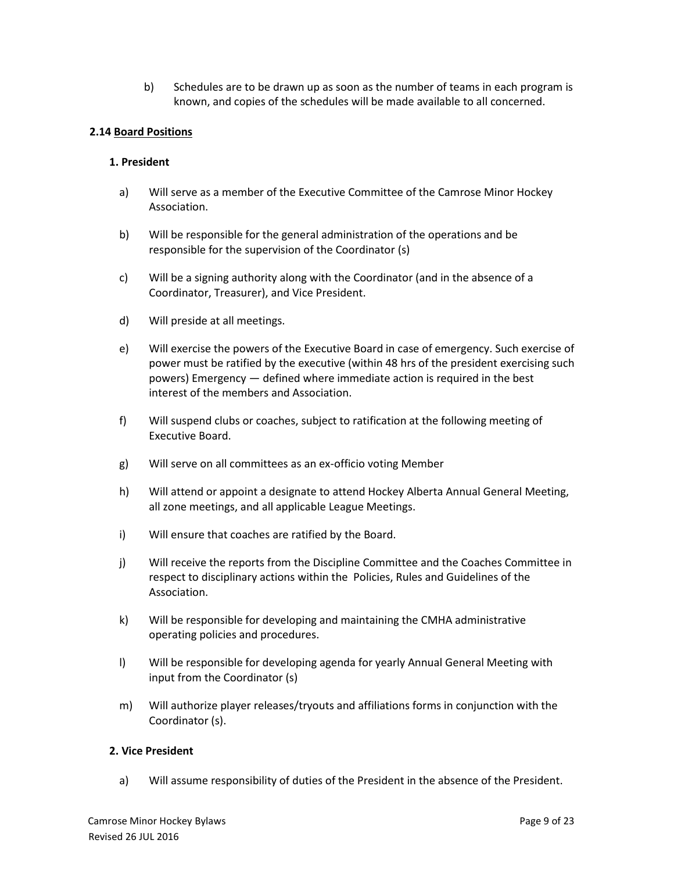b) Schedules are to be drawn up as soon as the number of teams in each program is known, and copies of the schedules will be made available to all concerned.

### **2.14 Board Positions**

### **1. President**

- a) Will serve as a member of the Executive Committee of the Camrose Minor Hockey Association.
- b) Will be responsible for the general administration of the operations and be responsible for the supervision of the Coordinator (s)
- c) Will be a signing authority along with the Coordinator (and in the absence of a Coordinator, Treasurer), and Vice President.
- d) Will preside at all meetings.
- e) Will exercise the powers of the Executive Board in case of emergency. Such exercise of power must be ratified by the executive (within 48 hrs of the president exercising such powers) Emergency — defined where immediate action is required in the best interest of the members and Association.
- f) Will suspend clubs or coaches, subject to ratification at the following meeting of Executive Board.
- g) Will serve on all committees as an ex-officio voting Member
- h) Will attend or appoint a designate to attend Hockey Alberta Annual General Meeting, all zone meetings, and all applicable League Meetings.
- i) Will ensure that coaches are ratified by the Board.
- j) Will receive the reports from the Discipline Committee and the Coaches Committee in respect to disciplinary actions within the Policies, Rules and Guidelines of the Association.
- k) Will be responsible for developing and maintaining the CMHA administrative operating policies and procedures.
- l) Will be responsible for developing agenda for yearly Annual General Meeting with input from the Coordinator (s)
- m) Will authorize player releases/tryouts and affiliations forms in conjunction with the Coordinator (s).

### **2. Vice President**

a) Will assume responsibility of duties of the President in the absence of the President.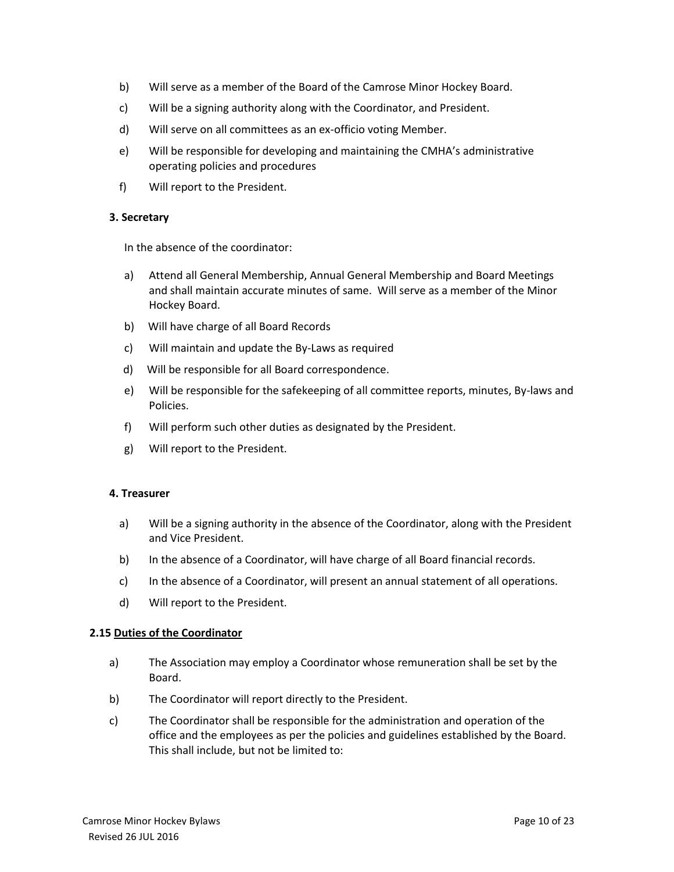- b) Will serve as a member of the Board of the Camrose Minor Hockey Board.
- c) Will be a signing authority along with the Coordinator, and President.
- d) Will serve on all committees as an ex-officio voting Member.
- e) Will be responsible for developing and maintaining the CMHA's administrative operating policies and procedures
- f) Will report to the President.

#### **3. Secretary**

In the absence of the coordinator:

- a) Attend all General Membership, Annual General Membership and Board Meetings and shall maintain accurate minutes of same. Will serve as a member of the Minor Hockey Board.
- b) Will have charge of all Board Records
- c) Will maintain and update the By-Laws as required
- d) Will be responsible for all Board correspondence.
- e) Will be responsible for the safekeeping of all committee reports, minutes, By-laws and Policies.
- f) Will perform such other duties as designated by the President.
- g) Will report to the President.

#### **4. Treasurer**

- a) Will be a signing authority in the absence of the Coordinator, along with the President and Vice President.
- b) In the absence of a Coordinator, will have charge of all Board financial records.
- c) In the absence of a Coordinator, will present an annual statement of all operations.
- d) Will report to the President.

#### **2.15 Duties of the Coordinator**

- a) The Association may employ a Coordinator whose remuneration shall be set by the Board.
- b) The Coordinator will report directly to the President.
- c) The Coordinator shall be responsible for the administration and operation of the office and the employees as per the policies and guidelines established by the Board. This shall include, but not be limited to: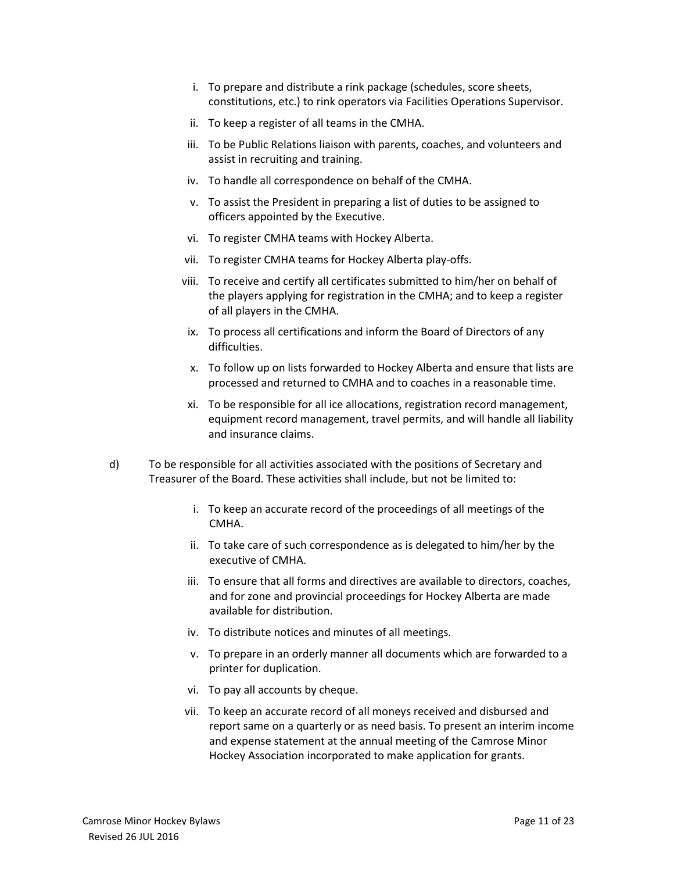- i. To prepare and distribute a rink package (schedules, score sheets, constitutions, etc.) to rink operators via Facilities Operations Supervisor.
- ii. To keep a register of all teams in the CMHA.
- iii. To be Public Relations liaison with parents, coaches, and volunteers and assist in recruiting and training.
- iv. To handle all correspondence on behalf of the CMHA.
- v. To assist the President in preparing a list of duties to be assigned to officers appointed by the Executive.
- vi. To register CMHA teams with Hockey Alberta.
- vii. To register CMHA teams for Hockey Alberta play-offs.
- viii. To receive and certify all certificates submitted to him/her on behalf of the players applying for registration in the CMHA; and to keep a register of all players in the CMHA.
- ix. To process all certifications and inform the Board of Directors of any difficulties.
- x. To follow up on lists forwarded to Hockey Alberta and ensure that lists are processed and returned to CMHA and to coaches in a reasonable time.
- xi. To be responsible for all ice allocations, registration record management, equipment record management, travel permits, and will handle all liability and insurance claims.
- d) To be responsible for all activities associated with the positions of Secretary and Treasurer of the Board. These activities shall include, but not be limited to:
	- i. To keep an accurate record of the proceedings of all meetings of the CMHA.
	- ii. To take care of such correspondence as is delegated to him/her by the executive of CMHA.
	- iii. To ensure that all forms and directives are available to directors, coaches, and for zone and provincial proceedings for Hockey Alberta are made available for distribution.
	- iv. To distribute notices and minutes of all meetings.
	- v. To prepare in an orderly manner all documents which are forwarded to a printer for duplication.
	- vi. To pay all accounts by cheque.
	- vii. To keep an accurate record of all moneys received and disbursed and report same on a quarterly or as need basis. To present an interim income and expense statement at the annual meeting of the Camrose Minor Hockey Association incorporated to make application for grants.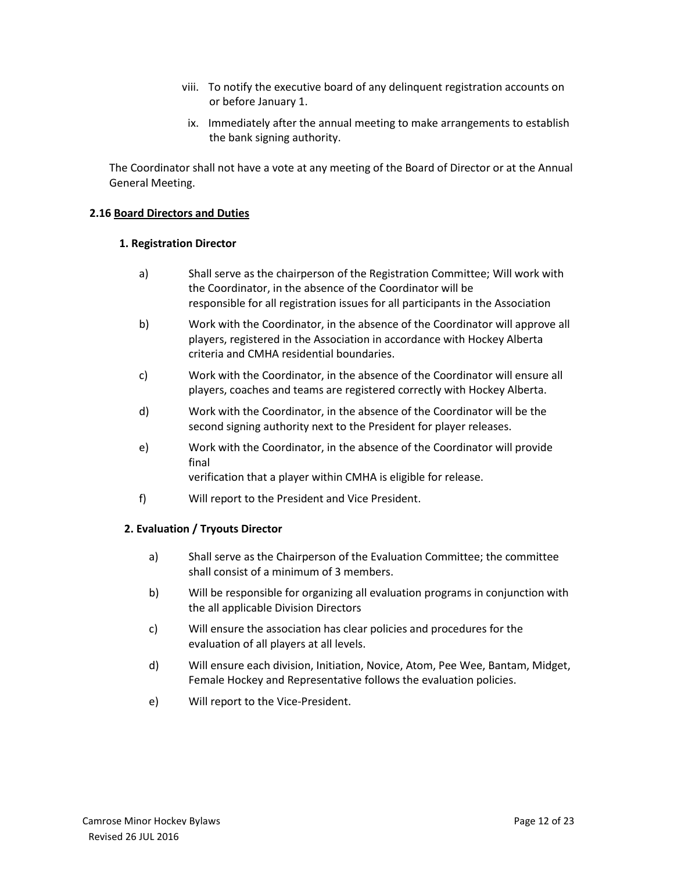- viii. To notify the executive board of any delinquent registration accounts on or before January 1.
- ix. Immediately after the annual meeting to make arrangements to establish the bank signing authority.

The Coordinator shall not have a vote at any meeting of the Board of Director or at the Annual General Meeting.

### **2.16 Board Directors and Duties**

#### **1. Registration Director**

- a) Shall serve as the chairperson of the Registration Committee; Will work with the Coordinator, in the absence of the Coordinator will be responsible for all registration issues for all participants in the Association
- b) Work with the Coordinator, in the absence of the Coordinator will approve all players, registered in the Association in accordance with Hockey Alberta criteria and CMHA residential boundaries.
- c) Work with the Coordinator, in the absence of the Coordinator will ensure all players, coaches and teams are registered correctly with Hockey Alberta.
- d) Work with the Coordinator, in the absence of the Coordinator will be the second signing authority next to the President for player releases.
- e) Work with the Coordinator, in the absence of the Coordinator will provide final

verification that a player within CMHA is eligible for release.

f) Will report to the President and Vice President.

### **2. Evaluation / Tryouts Director**

- a) Shall serve as the Chairperson of the Evaluation Committee; the committee shall consist of a minimum of 3 members.
- b) Will be responsible for organizing all evaluation programs in conjunction with the all applicable Division Directors
- c) Will ensure the association has clear policies and procedures for the evaluation of all players at all levels.
- d) Will ensure each division, Initiation, Novice, Atom, Pee Wee, Bantam, Midget, Female Hockey and Representative follows the evaluation policies.
- e) Will report to the Vice-President.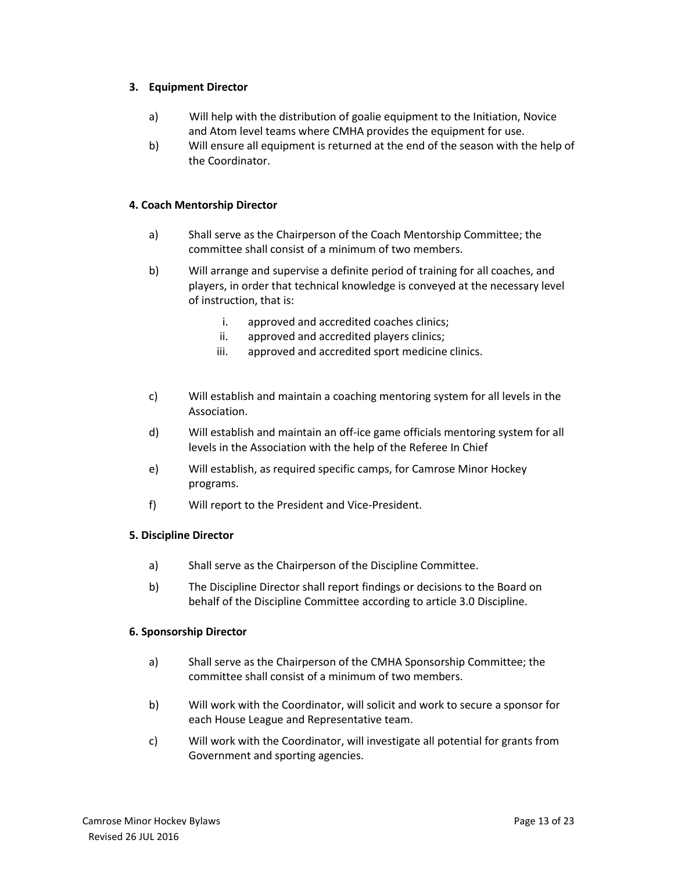### **3. Equipment Director**

- a)Will help with the distribution of goalie equipment to the Initiation, Novice and Atom level teams where CMHA provides the equipment for use.
- b) Will ensure all equipment is returned at the end of the season with the help of the Coordinator.

### **4. Coach Mentorship Director**

- a) Shall serve as the Chairperson of the Coach Mentorship Committee; the committee shall consist of a minimum of two members.
- b) Will arrange and supervise a definite period of training for all coaches, and players, in order that technical knowledge is conveyed at the necessary level of instruction, that is:
	- i. approved and accredited coaches clinics;
	- ii. approved and accredited players clinics;
	- iii. approved and accredited sport medicine clinics.
- c) Will establish and maintain a coaching mentoring system for all levels in the Association.
- d) Will establish and maintain an off-ice game officials mentoring system for all levels in the Association with the help of the Referee In Chief
- e) Will establish, as required specific camps, for Camrose Minor Hockey programs.
- f) Will report to the President and Vice-President.

### **5. Discipline Director**

- a) Shall serve as the Chairperson of the Discipline Committee.
- b) The Discipline Director shall report findings or decisions to the Board on behalf of the Discipline Committee according to article 3.0 Discipline.

#### **6. Sponsorship Director**

- a) Shall serve as the Chairperson of the CMHA Sponsorship Committee; the committee shall consist of a minimum of two members.
- b) Will work with the Coordinator, will solicit and work to secure a sponsor for each House League and Representative team.
- c) Will work with the Coordinator, will investigate all potential for grants from Government and sporting agencies.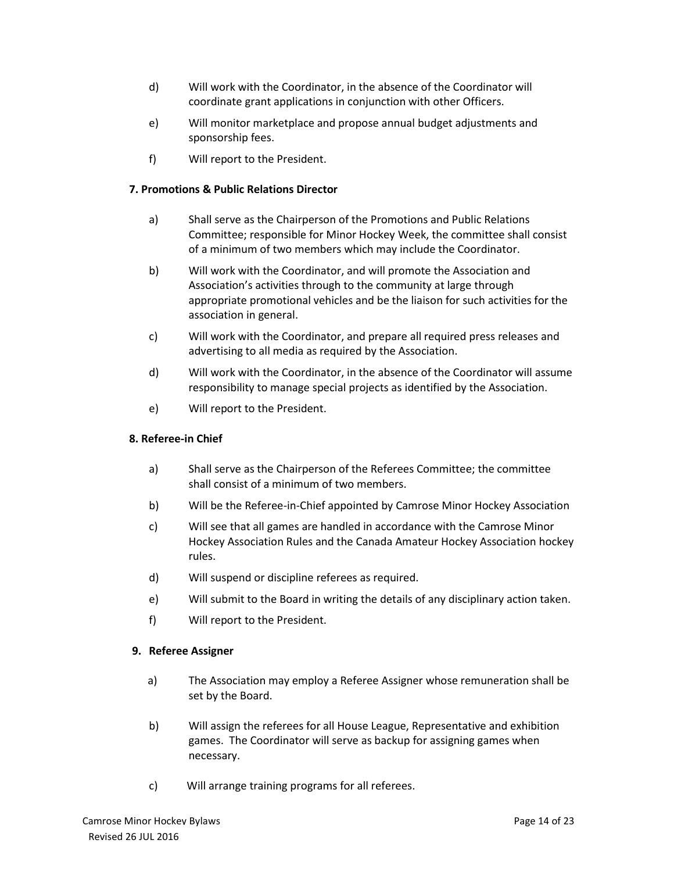- d) Will work with the Coordinator, in the absence of the Coordinator will coordinate grant applications in conjunction with other Officers.
- e) Will monitor marketplace and propose annual budget adjustments and sponsorship fees.
- f) Will report to the President.

### **7. Promotions & Public Relations Director**

- a) Shall serve as the Chairperson of the Promotions and Public Relations Committee; responsible for Minor Hockey Week, the committee shall consist of a minimum of two members which may include the Coordinator.
- b) Will work with the Coordinator, and will promote the Association and Association's activities through to the community at large through appropriate promotional vehicles and be the liaison for such activities for the association in general.
- c) Will work with the Coordinator, and prepare all required press releases and advertising to all media as required by the Association.
- d) Will work with the Coordinator, in the absence of the Coordinator will assume responsibility to manage special projects as identified by the Association.
- e) Will report to the President.

### **8. Referee-in Chief**

- a) Shall serve as the Chairperson of the Referees Committee; the committee shall consist of a minimum of two members.
- b) Will be the Referee-in-Chief appointed by Camrose Minor Hockey Association
- c) Will see that all games are handled in accordance with the Camrose Minor Hockey Association Rules and the Canada Amateur Hockey Association hockey rules.
- d) Will suspend or discipline referees as required.
- e) Will submit to the Board in writing the details of any disciplinary action taken.
- f) Will report to the President.

### **9. Referee Assigner**

- a) The Association may employ a Referee Assigner whose remuneration shall be set by the Board.
- b) Will assign the referees for all House League, Representative and exhibition games. The Coordinator will serve as backup for assigning games when necessary.
- c) Will arrange training programs for all referees.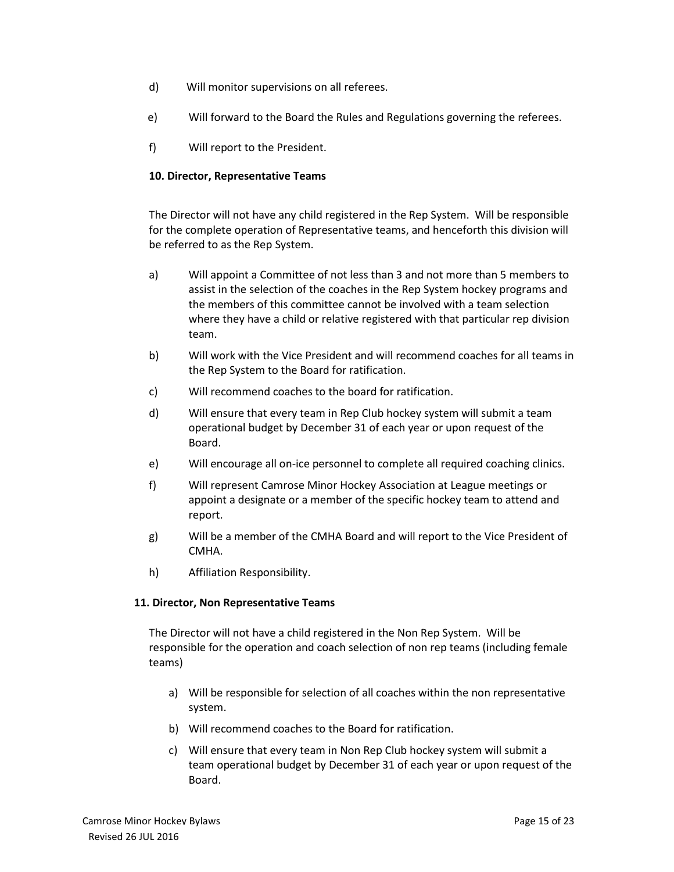- d) Will monitor supervisions on all referees.
- e) Will forward to the Board the Rules and Regulations governing the referees.
- f) Will report to the President.

### **10. Director, Representative Teams**

The Director will not have any child registered in the Rep System. Will be responsible for the complete operation of Representative teams, and henceforth this division will be referred to as the Rep System.

- a) Will appoint a Committee of not less than 3 and not more than 5 members to assist in the selection of the coaches in the Rep System hockey programs and the members of this committee cannot be involved with a team selection where they have a child or relative registered with that particular rep division team.
- b) Will work with the Vice President and will recommend coaches for all teams in the Rep System to the Board for ratification.
- c) Will recommend coaches to the board for ratification.
- d) Will ensure that every team in Rep Club hockey system will submit a team operational budget by December 31 of each year or upon request of the Board.
- e) Will encourage all on-ice personnel to complete all required coaching clinics.
- f) Will represent Camrose Minor Hockey Association at League meetings or appoint a designate or a member of the specific hockey team to attend and report.
- g) Will be a member of the CMHA Board and will report to the Vice President of CMHA.
- h) Affiliation Responsibility.

### **11. Director, Non Representative Teams**

The Director will not have a child registered in the Non Rep System. Will be responsible for the operation and coach selection of non rep teams (including female teams)

- a) Will be responsible for selection of all coaches within the non representative system.
- b) Will recommend coaches to the Board for ratification.
- c) Will ensure that every team in Non Rep Club hockey system will submit a team operational budget by December 31 of each year or upon request of the Board.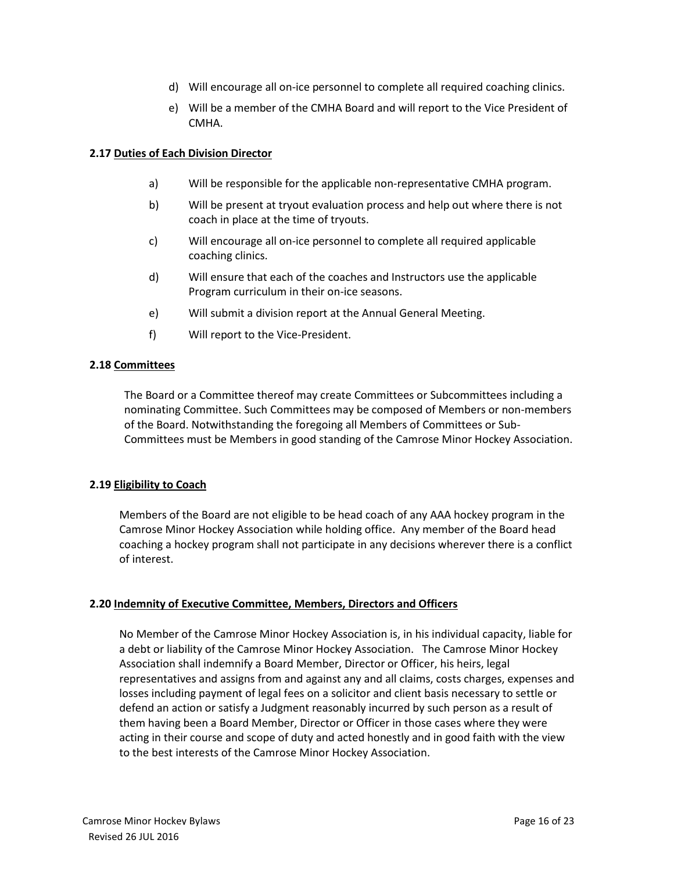- d) Will encourage all on-ice personnel to complete all required coaching clinics.
- e) Will be a member of the CMHA Board and will report to the Vice President of CMHA.

### **2.17 Duties of Each Division Director**

- a) Will be responsible for the applicable non-representative CMHA program.
- b) Will be present at tryout evaluation process and help out where there is not coach in place at the time of tryouts.
- c) Will encourage all on-ice personnel to complete all required applicable coaching clinics.
- d) Will ensure that each of the coaches and Instructors use the applicable Program curriculum in their on-ice seasons.
- e) Will submit a division report at the Annual General Meeting.
- f) Will report to the Vice-President.

#### **2.18 Committees**

The Board or a Committee thereof may create Committees or Subcommittees including a nominating Committee. Such Committees may be composed of Members or non-members of the Board. Notwithstanding the foregoing all Members of Committees or Sub-Committees must be Members in good standing of the Camrose Minor Hockey Association.

### **2.19 Eligibility to Coach**

Members of the Board are not eligible to be head coach of any AAA hockey program in the Camrose Minor Hockey Association while holding office. Any member of the Board head coaching a hockey program shall not participate in any decisions wherever there is a conflict of interest.

### **2.20 Indemnity of Executive Committee, Members, Directors and Officers**

No Member of the Camrose Minor Hockey Association is, in his individual capacity, liable for a debt or liability of the Camrose Minor Hockey Association. The Camrose Minor Hockey Association shall indemnify a Board Member, Director or Officer, his heirs, legal representatives and assigns from and against any and all claims, costs charges, expenses and losses including payment of legal fees on a solicitor and client basis necessary to settle or defend an action or satisfy a Judgment reasonably incurred by such person as a result of them having been a Board Member, Director or Officer in those cases where they were acting in their course and scope of duty and acted honestly and in good faith with the view to the best interests of the Camrose Minor Hockey Association.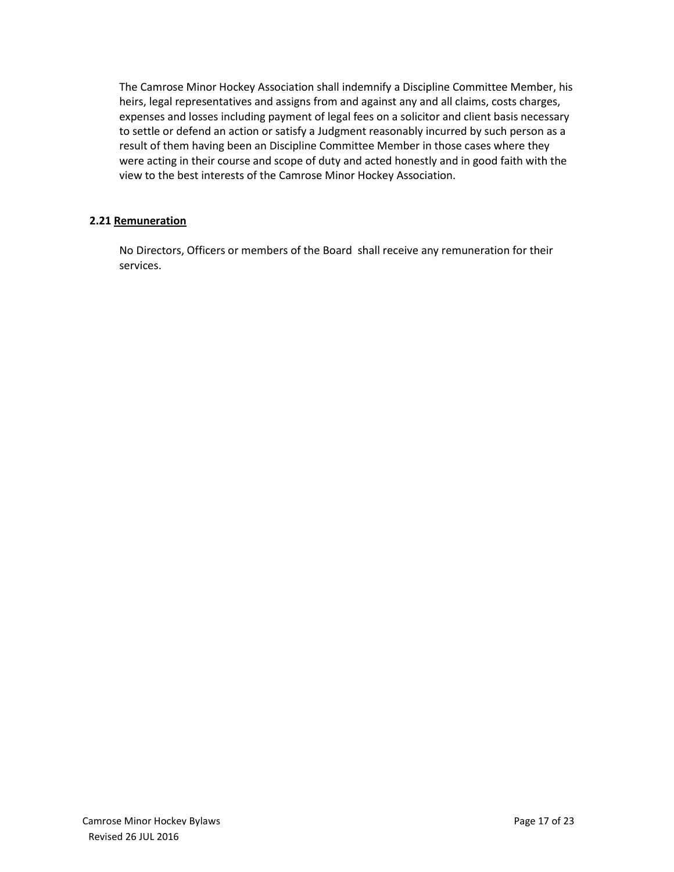The Camrose Minor Hockey Association shall indemnify a Discipline Committee Member, his heirs, legal representatives and assigns from and against any and all claims, costs charges, expenses and losses including payment of legal fees on a solicitor and client basis necessary to settle or defend an action or satisfy a Judgment reasonably incurred by such person as a result of them having been an Discipline Committee Member in those cases where they were acting in their course and scope of duty and acted honestly and in good faith with the view to the best interests of the Camrose Minor Hockey Association.

# **2.21 Remuneration**

No Directors, Officers or members of the Board shall receive any remuneration for their services.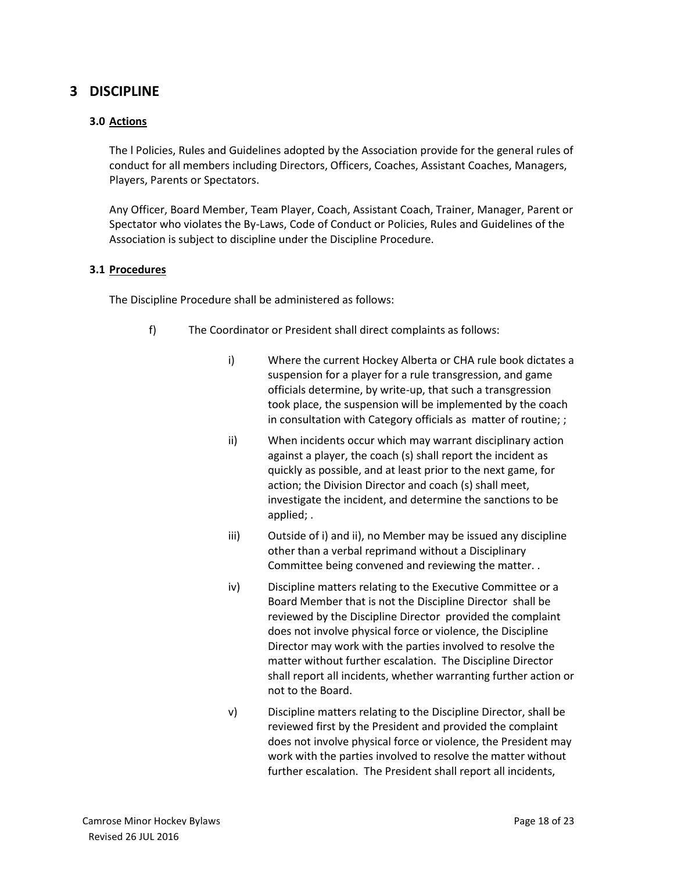# **3 DISCIPLINE**

### **3.0 Actions**

The l Policies, Rules and Guidelines adopted by the Association provide for the general rules of conduct for all members including Directors, Officers, Coaches, Assistant Coaches, Managers, Players, Parents or Spectators.

Any Officer, Board Member, Team Player, Coach, Assistant Coach, Trainer, Manager, Parent or Spectator who violates the By-Laws, Code of Conduct or Policies, Rules and Guidelines of the Association is subject to discipline under the Discipline Procedure.

#### **3.1 Procedures**

The Discipline Procedure shall be administered as follows:

- f) The Coordinator or President shall direct complaints as follows:
	- i) Where the current Hockey Alberta or CHA rule book dictates a suspension for a player for a rule transgression, and game officials determine, by write-up, that such a transgression took place, the suspension will be implemented by the coach in consultation with Category officials as matter of routine; ;
	- ii) When incidents occur which may warrant disciplinary action against a player, the coach (s) shall report the incident as quickly as possible, and at least prior to the next game, for action; the Division Director and coach (s) shall meet, investigate the incident, and determine the sanctions to be applied; .
	- iii) Outside of i) and ii), no Member may be issued any discipline other than a verbal reprimand without a Disciplinary Committee being convened and reviewing the matter. .
	- iv) Discipline matters relating to the Executive Committee or a Board Member that is not the Discipline Director shall be reviewed by the Discipline Director provided the complaint does not involve physical force or violence, the Discipline Director may work with the parties involved to resolve the matter without further escalation. The Discipline Director shall report all incidents, whether warranting further action or not to the Board.
	- v) Discipline matters relating to the Discipline Director, shall be reviewed first by the President and provided the complaint does not involve physical force or violence, the President may work with the parties involved to resolve the matter without further escalation. The President shall report all incidents,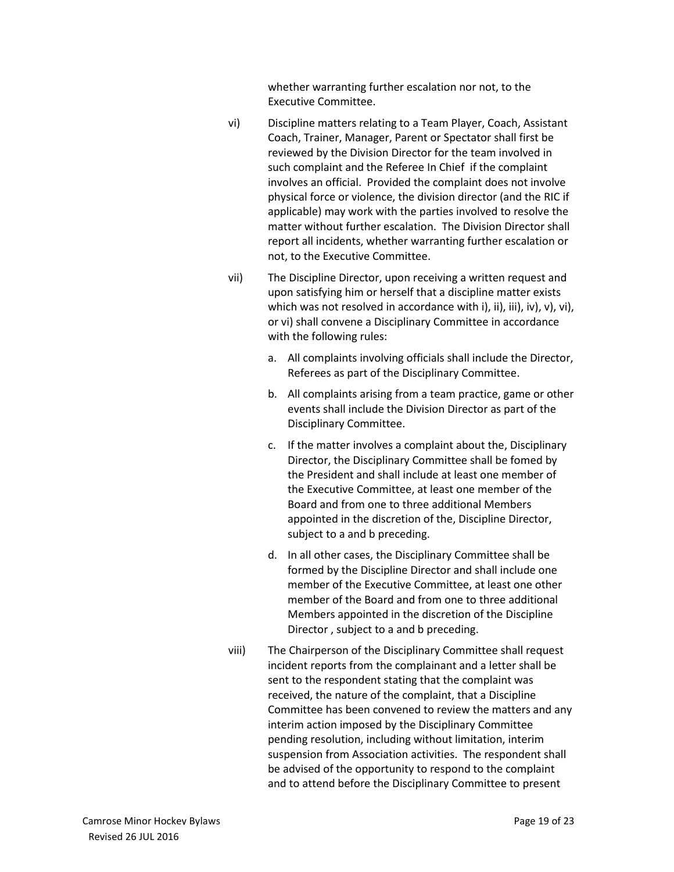whether warranting further escalation nor not, to the Executive Committee.

- vi) Discipline matters relating to a Team Player, Coach, Assistant Coach, Trainer, Manager, Parent or Spectator shall first be reviewed by the Division Director for the team involved in such complaint and the Referee In Chief if the complaint involves an official. Provided the complaint does not involve physical force or violence, the division director (and the RIC if applicable) may work with the parties involved to resolve the matter without further escalation. The Division Director shall report all incidents, whether warranting further escalation or not, to the Executive Committee.
- vii) The Discipline Director, upon receiving a written request and upon satisfying him or herself that a discipline matter exists which was not resolved in accordance with i), ii), iii), iv), v), vi), or vi) shall convene a Disciplinary Committee in accordance with the following rules:
	- a. All complaints involving officials shall include the Director, Referees as part of the Disciplinary Committee.
	- b. All complaints arising from a team practice, game or other events shall include the Division Director as part of the Disciplinary Committee.
	- c. If the matter involves a complaint about the, Disciplinary Director, the Disciplinary Committee shall be fomed by the President and shall include at least one member of the Executive Committee, at least one member of the Board and from one to three additional Members appointed in the discretion of the, Discipline Director, subject to a and b preceding.
	- d. In all other cases, the Disciplinary Committee shall be formed by the Discipline Director and shall include one member of the Executive Committee, at least one other member of the Board and from one to three additional Members appointed in the discretion of the Discipline Director , subject to a and b preceding.
- viii) The Chairperson of the Disciplinary Committee shall request incident reports from the complainant and a letter shall be sent to the respondent stating that the complaint was received, the nature of the complaint, that a Discipline Committee has been convened to review the matters and any interim action imposed by the Disciplinary Committee pending resolution, including without limitation, interim suspension from Association activities. The respondent shall be advised of the opportunity to respond to the complaint and to attend before the Disciplinary Committee to present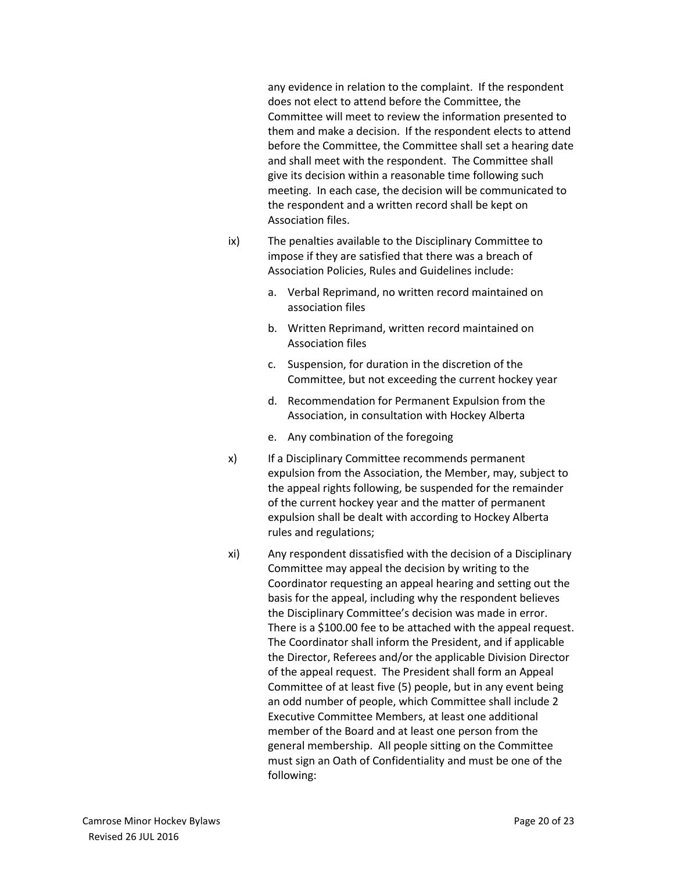any evidence in relation to the complaint. If the respondent does not elect to attend before the Committee, the Committee will meet to review the information presented to them and make a decision. If the respondent elects to attend before the Committee, the Committee shall set a hearing date and shall meet with the respondent. The Committee shall give its decision within a reasonable time following such meeting. In each case, the decision will be communicated to the respondent and a written record shall be kept on Association files.

- ix) The penalties available to the Disciplinary Committee to impose if they are satisfied that there was a breach of Association Policies, Rules and Guidelines include:
	- a. Verbal Reprimand, no written record maintained on association files
	- b. Written Reprimand, written record maintained on Association files
	- c. Suspension, for duration in the discretion of the Committee, but not exceeding the current hockey year
	- d. Recommendation for Permanent Expulsion from the Association, in consultation with Hockey Alberta
	- e. Any combination of the foregoing
- x) If a Disciplinary Committee recommends permanent expulsion from the Association, the Member, may, subject to the appeal rights following, be suspended for the remainder of the current hockey year and the matter of permanent expulsion shall be dealt with according to Hockey Alberta rules and regulations;
- xi) Any respondent dissatisfied with the decision of a Disciplinary Committee may appeal the decision by writing to the Coordinator requesting an appeal hearing and setting out the basis for the appeal, including why the respondent believes the Disciplinary Committee's decision was made in error. There is a \$100.00 fee to be attached with the appeal request. The Coordinator shall inform the President, and if applicable the Director, Referees and/or the applicable Division Director of the appeal request. The President shall form an Appeal Committee of at least five (5) people, but in any event being an odd number of people, which Committee shall include 2 Executive Committee Members, at least one additional member of the Board and at least one person from the general membership. All people sitting on the Committee must sign an Oath of Confidentiality and must be one of the following: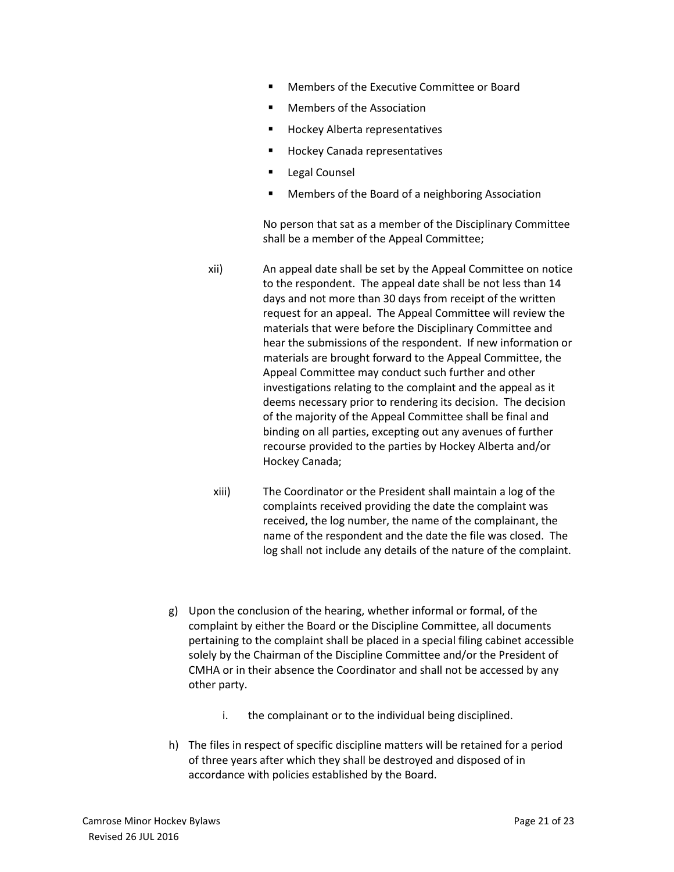- Members of the Executive Committee or Board
- Members of the Association
- Hockey Alberta representatives
- Hockey Canada representatives
- **Legal Counsel**
- Members of the Board of a neighboring Association

No person that sat as a member of the Disciplinary Committee shall be a member of the Appeal Committee;

- xii) An appeal date shall be set by the Appeal Committee on notice to the respondent. The appeal date shall be not less than 14 days and not more than 30 days from receipt of the written request for an appeal. The Appeal Committee will review the materials that were before the Disciplinary Committee and hear the submissions of the respondent. If new information or materials are brought forward to the Appeal Committee, the Appeal Committee may conduct such further and other investigations relating to the complaint and the appeal as it deems necessary prior to rendering its decision. The decision of the majority of the Appeal Committee shall be final and binding on all parties, excepting out any avenues of further recourse provided to the parties by Hockey Alberta and/or Hockey Canada;
	- xiii) The Coordinator or the President shall maintain a log of the complaints received providing the date the complaint was received, the log number, the name of the complainant, the name of the respondent and the date the file was closed. The log shall not include any details of the nature of the complaint.
- g) Upon the conclusion of the hearing, whether informal or formal, of the complaint by either the Board or the Discipline Committee, all documents pertaining to the complaint shall be placed in a special filing cabinet accessible solely by the Chairman of the Discipline Committee and/or the President of CMHA or in their absence the Coordinator and shall not be accessed by any other party.
	- i. the complainant or to the individual being disciplined.
- h) The files in respect of specific discipline matters will be retained for a period of three years after which they shall be destroyed and disposed of in accordance with policies established by the Board.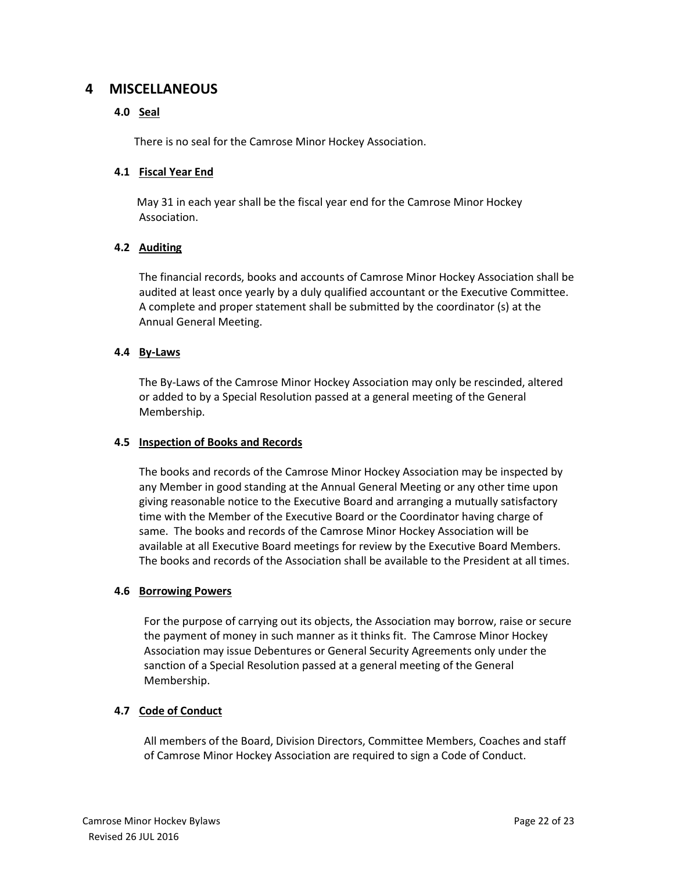# **4 MISCELLANEOUS**

# **4.0 Seal**

There is no seal for the Camrose Minor Hockey Association.

# **4.1 Fiscal Year End**

May 31 in each year shall be the fiscal year end for the Camrose Minor Hockey Association.

# **4.2 Auditing**

The financial records, books and accounts of Camrose Minor Hockey Association shall be audited at least once yearly by a duly qualified accountant or the Executive Committee. A complete and proper statement shall be submitted by the coordinator (s) at the Annual General Meeting.

# **4.4 By-Laws**

The By-Laws of the Camrose Minor Hockey Association may only be rescinded, altered or added to by a Special Resolution passed at a general meeting of the General Membership.

### **4.5 Inspection of Books and Records**

The books and records of the Camrose Minor Hockey Association may be inspected by any Member in good standing at the Annual General Meeting or any other time upon giving reasonable notice to the Executive Board and arranging a mutually satisfactory time with the Member of the Executive Board or the Coordinator having charge of same. The books and records of the Camrose Minor Hockey Association will be available at all Executive Board meetings for review by the Executive Board Members. The books and records of the Association shall be available to the President at all times.

### **4.6 Borrowing Powers**

For the purpose of carrying out its objects, the Association may borrow, raise or secure the payment of money in such manner as it thinks fit. The Camrose Minor Hockey Association may issue Debentures or General Security Agreements only under the sanction of a Special Resolution passed at a general meeting of the General Membership.

### **4.7 Code of Conduct**

All members of the Board, Division Directors, Committee Members, Coaches and staff of Camrose Minor Hockey Association are required to sign a Code of Conduct.